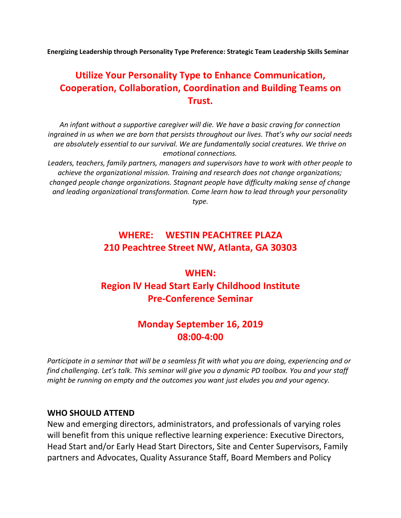Energizing Leadership through Personality Type Preference: Strategic Team Leadership Skills Seminar

# Utilize Your Personality Type to Enhance Communication, Cooperation, Collaboration, Coordination and Building Teams on Trust.

An infant without a supportive caregiver will die. We have a basic craving for connection ingrained in us when we are born that persists throughout our lives. That's why our social needs are absolutely essential to our survival. We are fundamentally social creatures. We thrive on emotional connections.

Leaders, teachers, family partners, managers and supervisors have to work with other people to achieve the organizational mission. Training and research does not change organizations; changed people change organizations. Stagnant people have difficulty making sense of change and leading organizational transformation. Come learn how to lead through your personality type.

## WHERE: **WESTIN PEACHTREE PLAZA 210 Peachtree Street NW, Atlanta, GA 30303**

# WHEN: Region lV Head Start Early Childhood Institute Pre-Conference Seminar

### Monday September 16, 2019 08:00-4:00

Participate in a seminar that will be a seamless fit with what you are doing, experiencing and or find challenging. Let's talk. This seminar will give you a dynamic PD toolbox. You and your staff might be running on empty and the outcomes you want just eludes you and your agency.

#### WHO SHOULD ATTEND

New and emerging directors, administrators, and professionals of varying roles will benefit from this unique reflective learning experience: Executive Directors, Head Start and/or Early Head Start Directors, Site and Center Supervisors, Family partners and Advocates, Quality Assurance Staff, Board Members and Policy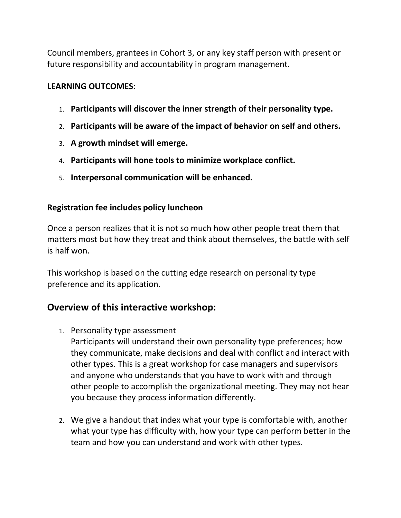Council members, grantees in Cohort 3, or any key staff person with present or future responsibility and accountability in program management.

#### LEARNING OUTCOMES:

- 1. Participants will discover the inner strength of their personality type.
- 2. Participants will be aware of the impact of behavior on self and others.
- 3. A growth mindset will emerge.
- 4. Participants will hone tools to minimize workplace conflict.
- 5. Interpersonal communication will be enhanced.

#### Registration fee includes policy luncheon

Once a person realizes that it is not so much how other people treat them that matters most but how they treat and think about themselves, the battle with self is half won.

This workshop is based on the cutting edge research on personality type preference and its application.

### Overview of this interactive workshop:

1. Personality type assessment

Participants will understand their own personality type preferences; how they communicate, make decisions and deal with conflict and interact with other types. This is a great workshop for case managers and supervisors and anyone who understands that you have to work with and through other people to accomplish the organizational meeting. They may not hear you because they process information differently.

2. We give a handout that index what your type is comfortable with, another what your type has difficulty with, how your type can perform better in the team and how you can understand and work with other types.